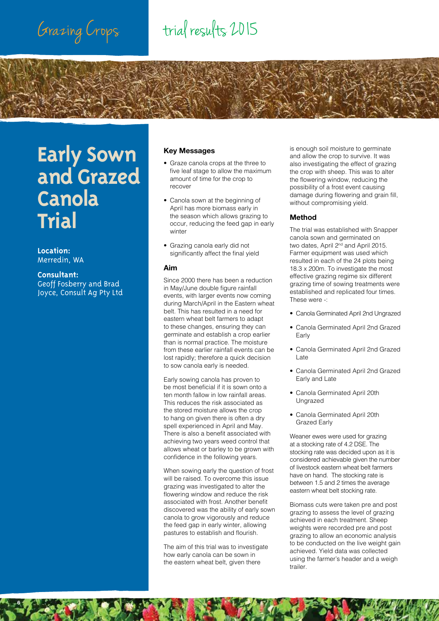## Grazing Crops trial results 2015

## **Early Sown and Grazed Canola Trial**

**Location:**  Merredin, WA

### **Consultant:**

**6**

Geoff Fosberry and Brad Joyce, Consult Ag Pty Ltd

### **Key Messages**

- Graze canola crops at the three to five leaf stage to allow the maximum amount of time for the crop to recover
- Canola sown at the beginning of April has more biomass early in the season which allows grazing to occur, reducing the feed gap in early winter
- Grazing canola early did not significantly affect the final yield

#### **Aim**

Since 2000 there has been a reduction in May/June double figure rainfall events, with larger events now coming during March/April in the Eastern wheat belt. This has resulted in a need for eastern wheat belt farmers to adapt to these changes, ensuring they can germinate and establish a crop earlier than is normal practice. The moisture from these earlier rainfall events can be lost rapidly; therefore a quick decision to sow canola early is needed.

Early sowing canola has proven to be most beneficial if it is sown onto a ten month fallow in low rainfall areas. This reduces the risk associated as the stored moisture allows the crop to hang on given there is often a dry spell experienced in April and May. There is also a benefit associated with achieving two years weed control that allows wheat or barley to be grown with confidence in the following years.

When sowing early the question of frost will be raised. To overcome this issue grazing was investigated to alter the flowering window and reduce the risk associated with frost. Another benefit discovered was the ability of early sown canola to grow vigorously and reduce the feed gap in early winter, allowing pastures to establish and flourish.

The aim of this trial was to investigate how early canola can be sown in the eastern wheat belt, given there

is enough soil moisture to germinate and allow the crop to survive. It was also investigating the effect of grazing the crop with sheep. This was to alter the flowering window, reducing the possibility of a frost event causing damage during flowering and grain fill, without compromising yield.

### **Method**

The trial was established with Snapper canola sown and germinated on two dates, April 2<sup>nd</sup> and April 2015. Farmer equipment was used which resulted in each of the 24 plots being 18.3 x 200m. To investigate the most effective grazing regime six different grazing time of sowing treatments were established and replicated four times. These were -:

- Canola Germinated April 2nd Ungrazed
- Canola Germinated April 2nd Grazed Early
- Canola Germinated April 2nd Grazed Late
- Canola Germinated April 2nd Grazed Early and Late
- Canola Germinated April 20th Ungrazed
- Canola Germinated April 20th Grazed Early

Weaner ewes were used for grazing at a stocking rate of 4.2 DSE. The stocking rate was decided upon as it is considered achievable given the number of livestock eastern wheat belt farmers have on hand. The stocking rate is between 1.5 and 2 times the average eastern wheat belt stocking rate.

Biomass cuts were taken pre and post grazing to assess the level of grazing achieved in each treatment. Sheep weights were recorded pre and post grazing to allow an economic analysis to be conducted on the live weight gain achieved. Yield data was collected using the farmer's header and a weigh trailer.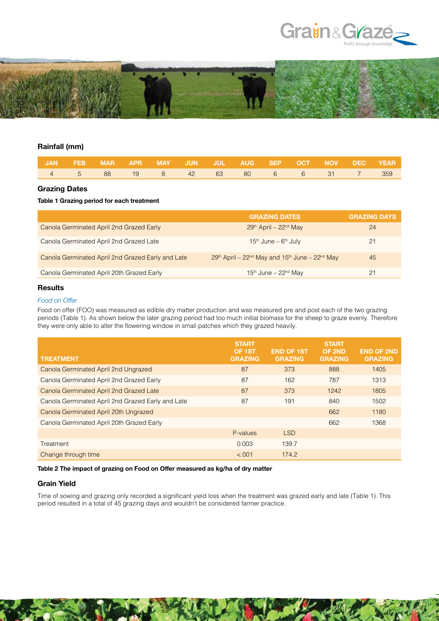

**7**



#### **Rainfall (mm)**

|  | I JAN FEB MAR APR MAY JUN JUL AUG SEP OCT NOV DEC YEAR.I |  |  |  |  |  |
|--|----------------------------------------------------------|--|--|--|--|--|
|  | 4 5 88 19 8 42 63 80 6 6 31 7 359                        |  |  |  |  |  |

#### **Grazing Dates**

#### **Table 1 Grazing period for each treatment**

|                                                   | <b>GRAZING DATES</b>                           | <b>GRAZING DAYS</b> |
|---------------------------------------------------|------------------------------------------------|---------------------|
| Canola Germinated April 2nd Grazed Early          | $29th$ April – $22nd$ May                      | 24                  |
| Canola Germinated April 2nd Grazed Late           | $15th$ June – $6th$ July                       | 21                  |
| Canola Germinated April 2nd Grazed Early and Late | 29th April – 22nd May and 15th June – 22nd May | 45                  |
| Canola Germinated April 20th Grazed Early         | $15th$ June – 22 <sup>nd</sup> May             |                     |

### **Results**

#### *Food on Offer*

Food on offer (FOO) was measured as edible dry matter production and was measured pre and post each of the two grazing periods (Table 1). As shown below the later grazing period had too much initial biomass for the sheep to graze evenly. Therefore they were only able to alter the flowering window in small patches which they grazed heavily.

|                                                   | <b>START</b><br>OF 1ST | <b>END OF 1ST</b> | <b>START</b><br>OF 2ND | <b>END OF 2ND</b> |
|---------------------------------------------------|------------------------|-------------------|------------------------|-------------------|
| <b>TREATMENT</b>                                  | <b>GRAZING</b>         | <b>GRAZING</b>    | <b>GRAZING</b>         | <b>GRAZING</b>    |
| Canola Germinated April 2nd Ungrazed              | 87                     | 373               | 888                    | 1405              |
| Canola Germinated April 2nd Grazed Early          | 87                     | 162               | 787                    | 1313              |
| Canola Germinated April 2nd Grazed Late           | 87                     | 373               | 1242                   | 1805              |
| Canola Germinated April 2nd Grazed Early and Late | 87                     | 191               | 840                    | 1502              |
| Canola Germinated April 20th Ungrazed             |                        |                   | 662                    | 1180              |
| Canola Germinated April 20th Grazed Early         |                        |                   | 662                    | 1368              |
|                                                   | P-values               | <b>LSD</b>        |                        |                   |
| Treatment                                         | 0.003                  | 139.7             |                        |                   |
| Change through time                               | < .001                 | 174.2             |                        |                   |

#### **Table 2 The impact of grazing on Food on Offer measured as kg/ha of dry matter**

#### **Grain Yield**

Time of sowing and grazing only recorded a significant yield loss when the treatment was grazed early and late (Table 1). This period resulted in a total of 45 grazing days and wouldn't be considered farmer practice.